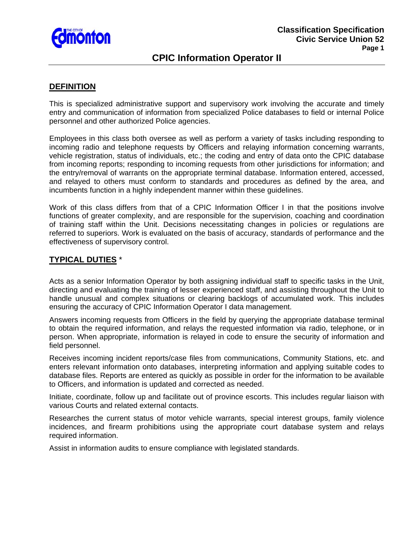

# **CPIC Information Operator II**

### **DEFINITION**

This is specialized administrative support and supervisory work involving the accurate and timely entry and communication of information from specialized Police databases to field or internal Police personnel and other authorized Police agencies.

Employees in this class both oversee as well as perform a variety of tasks including responding to incoming radio and telephone requests by Officers and relaying information concerning warrants, vehicle registration, status of individuals, etc.; the coding and entry of data onto the CPIC database from incoming reports; responding to incoming requests from other jurisdictions for information; and the entry/removal of warrants on the appropriate terminal database. Information entered, accessed, and relayed to others must conform to standards and procedures as defined by the area, and incumbents function in a highly independent manner within these guidelines.

Work of this class differs from that of a CPIC Information Officer I in that the positions involve functions of greater complexity, and are responsible for the supervision, coaching and coordination of training staff within the Unit. Decisions necessitating changes in policies or regulations are referred to superiors. Work is evaluated on the basis of accuracy, standards of performance and the effectiveness of supervisory control.

#### **TYPICAL DUTIES** \*

Acts as a senior Information Operator by both assigning individual staff to specific tasks in the Unit, directing and evaluating the training of lesser experienced staff, and assisting throughout the Unit to handle unusual and complex situations or clearing backlogs of accumulated work. This includes ensuring the accuracy of CPIC Information Operator I data management.

Answers incoming requests from Officers in the field by querying the appropriate database terminal to obtain the required information, and relays the requested information via radio, telephone, or in person. When appropriate, information is relayed in code to ensure the security of information and field personnel.

Receives incoming incident reports/case files from communications, Community Stations, etc. and enters relevant information onto databases, interpreting information and applying suitable codes to database files. Reports are entered as quickly as possible in order for the information to be available to Officers, and information is updated and corrected as needed.

Initiate, coordinate, follow up and facilitate out of province escorts. This includes regular liaison with various Courts and related external contacts.

Researches the current status of motor vehicle warrants, special interest groups, family violence incidences, and firearm prohibitions using the appropriate court database system and relays required information.

Assist in information audits to ensure compliance with legislated standards.